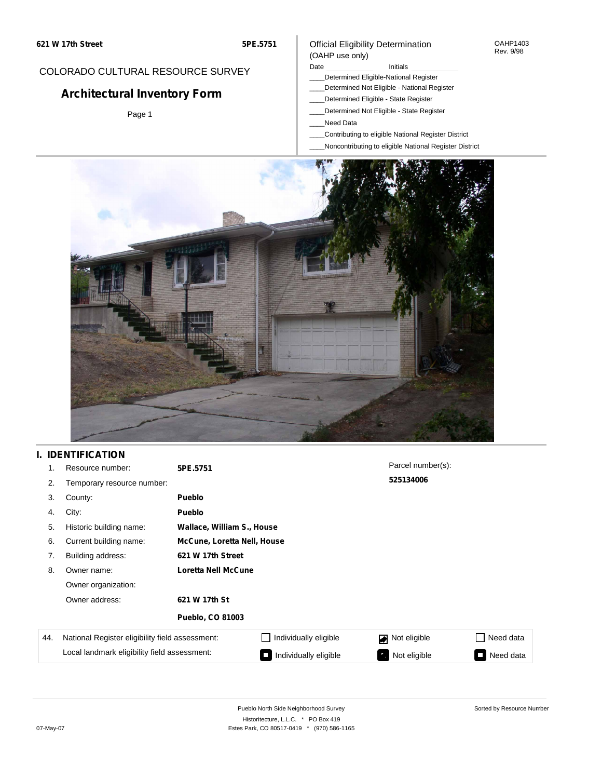#### OAHP1403 Rev. 9/98

## COLORADO CULTURAL RESOURCE SURVEY

# **Architectural Inventory Form**

Page 1

#### (OAHP use only) Date **Initials** Initials

Official Eligibility Determination

- \_\_\_\_Determined Eligible-National Register
- \_\_\_\_Determined Not Eligible National Register
- \_\_\_\_Determined Eligible State Register
- \_\_\_\_Determined Not Eligible State Register
- \_\_\_\_Need Data
- \_\_\_\_Contributing to eligible National Register District
- \_\_\_\_Noncontributing to eligible National Register District



## **I. IDENTIFICATION**

| 1.  | Resource number:                                | 5PE.5751                    |                            | Parcel number(s): |           |
|-----|-------------------------------------------------|-----------------------------|----------------------------|-------------------|-----------|
| 2.  | Temporary resource number:                      |                             |                            | 525134006         |           |
| 3.  | County:                                         | Pueblo                      |                            |                   |           |
| 4.  | City:                                           | <b>Pueblo</b>               |                            |                   |           |
| 5.  | Historic building name:                         |                             | Wallace, William S., House |                   |           |
| 6.  | Current building name:                          | McCune, Loretta Nell, House |                            |                   |           |
| 7.  | Building address:                               | 621 W 17th Street           |                            |                   |           |
| 8.  | Owner name:                                     | Loretta Nell McCune         |                            |                   |           |
|     | Owner organization:                             |                             |                            |                   |           |
|     | Owner address:                                  | 621 W 17th St               |                            |                   |           |
|     |                                                 | <b>Pueblo, CO 81003</b>     |                            |                   |           |
| 44. | National Register eligibility field assessment: |                             | Individually eligible      | Not eligible      | Need data |
|     | Local landmark eligibility field assessment:    |                             | Individually eligible      | Not eligible      | Need data |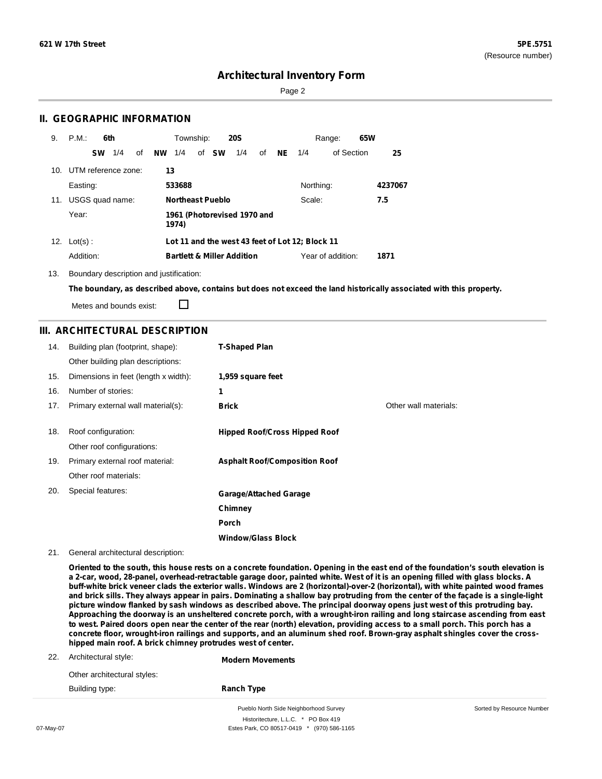Page 2

### **II. GEOGRAPHIC INFORMATION**

| 9.  | P.M.<br>6th         | Township:                              | <b>20S</b> | 65W<br>Range:                                   |         |
|-----|---------------------|----------------------------------------|------------|-------------------------------------------------|---------|
|     | 1/4<br><b>SW</b>    | of <b>SW</b><br><b>NW</b><br>1/4<br>οf | 1/4<br>of  | of Section<br><b>NE</b><br>1/4                  | 25      |
| 10. | UTM reference zone: | 13                                     |            |                                                 |         |
|     | Easting:            | 533688                                 |            | Northing:                                       | 4237067 |
| 11. | USGS quad name:     | <b>Northeast Pueblo</b>                |            | Scale:                                          | 7.5     |
|     | Year:               | 1961 (Photorevised 1970 and<br>1974)   |            |                                                 |         |
|     | 12. $Lot(s)$ :      |                                        |            | Lot 11 and the west 43 feet of Lot 12; Block 11 |         |
|     | Addition:           | <b>Bartlett &amp; Miller Addition</b>  |            | Year of addition:                               | 1871    |

13. Boundary description and justification:

The boundary, as described above, contains but does not exceed the land historically associated with this property.

Metes and bounds exist:

 $\Box$ 

### **III. ARCHITECTURAL DESCRIPTION**

| 14. | Building plan (footprint, shape):    | <b>T-Shaped Plan</b>                 |                       |
|-----|--------------------------------------|--------------------------------------|-----------------------|
|     | Other building plan descriptions:    |                                      |                       |
| 15. | Dimensions in feet (length x width): | 1,959 square feet                    |                       |
| 16. | Number of stories:                   | 1                                    |                       |
| 17. | Primary external wall material(s):   | <b>Brick</b>                         | Other wall materials: |
|     |                                      |                                      |                       |
| 18. | Roof configuration:                  | <b>Hipped Roof/Cross Hipped Roof</b> |                       |
|     | Other roof configurations:           |                                      |                       |
| 19. | Primary external roof material:      | <b>Asphalt Roof/Composition Roof</b> |                       |
|     | Other roof materials:                |                                      |                       |
| 20. | Special features:                    | <b>Garage/Attached Garage</b>        |                       |
|     |                                      | Chimney                              |                       |
|     |                                      | Porch                                |                       |
|     |                                      | <b>Window/Glass Block</b>            |                       |

21. General architectural description:

Oriented to the south, this house rests on a concrete foundation. Opening in the east end of the foundation's south elevation is a 2-car, wood, 28-panel, overhead-retractable garage door, painted white. West of it is an opening filled with glass blocks. A buff-white brick veneer clads the exterior walls. Windows are 2 (horizontal)-over-2 (horizontal), with white painted wood frames and brick sills. They always appear in pairs. Dominating a shallow bay protruding from the center of the façade is a single-light picture window flanked by sash windows as described above. The principal doorway opens just west of this protruding bay. Approaching the doorway is an unsheltered concrete porch, with a wrought-iron railing and long staircase ascending from east to west. Paired doors open near the center of the rear (north) elevation, providing access to a small porch. This porch has a concrete floor, wrought-iron railings and supports, and an aluminum shed roof. Brown-gray asphalt shingles cover the cross**hipped main roof. A brick chimney protrudes west of center.**

|     |                             | Pueblo North Side Neighborhood Survey | Sorted by Resource Number |
|-----|-----------------------------|---------------------------------------|---------------------------|
|     | Building type:              | <b>Ranch Type</b>                     |                           |
|     | Other architectural styles: |                                       |                           |
| 22. | Architectural style:        | <b>Modern Movements</b>               |                           |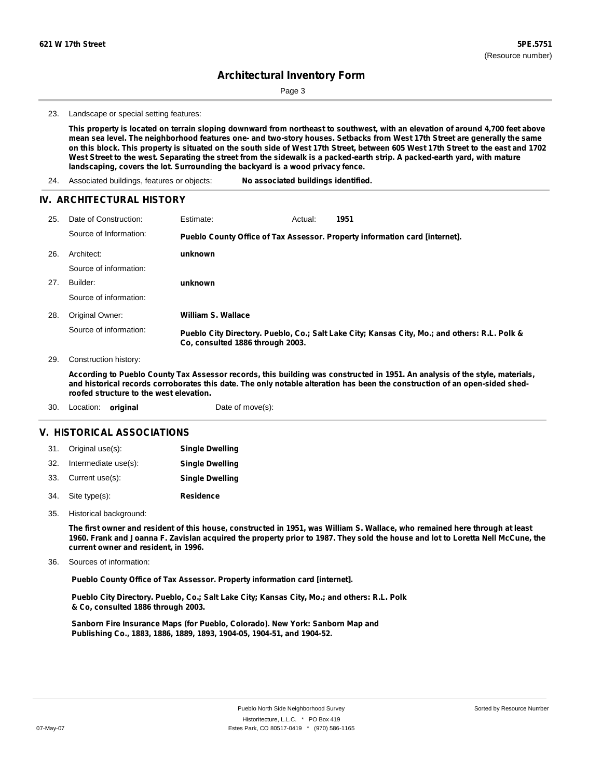Page 3

23. Landscape or special setting features:

This property is located on terrain sloping downward from northeast to southwest, with an elevation of around 4,700 feet above mean sea level. The neighborhood features one- and two-story houses. Setbacks from West 17th Street are generally the same on this block. This property is situated on the south side of West 17th Street, between 605 West 17th Street to the east and 1702 West Street to the west. Separating the street from the sidewalk is a packed-earth strip. A packed-earth yard, with mature **landscaping, covers the lot. Surrounding the backyard is a wood privacy fence.**

24. Associated buildings, features or objects: **No associated buildings identified.**

#### **IV. ARCHITECTURAL HISTORY**

| 25. | Date of Construction:  | Estimate:                        | Actual: | 1951                                                                                          |
|-----|------------------------|----------------------------------|---------|-----------------------------------------------------------------------------------------------|
|     | Source of Information: |                                  |         | Pueblo County Office of Tax Assessor. Property information card [internet].                   |
| 26. | Architect:             | unknown                          |         |                                                                                               |
|     | Source of information: |                                  |         |                                                                                               |
| 27. | Builder:               | unknown                          |         |                                                                                               |
|     | Source of information: |                                  |         |                                                                                               |
| 28. | Original Owner:        | William S. Wallace               |         |                                                                                               |
|     | Source of information: | Co. consulted 1886 through 2003. |         | Pueblo City Directory. Pueblo, Co.; Salt Lake City; Kansas City, Mo.; and others: R.L. Polk & |

29. Construction history:

According to Pueblo County Tax Assessor records, this building was constructed in 1951. An analysis of the style, materials, and historical records corroborates this date. The only notable alteration has been the construction of an open-sided shed**roofed structure to the west elevation.**

30. Location: **original** Date of move(s):

#### **V. HISTORICAL ASSOCIATIONS**

| 31. Original use(s):     | <b>Single Dwelling</b> |
|--------------------------|------------------------|
| 32. Intermediate use(s): | <b>Single Dwelling</b> |
| 33. Current use(s):      | <b>Single Dwelling</b> |
| 34. Site type(s):        | Residence              |

35. Historical background:

The first owner and resident of this house, constructed in 1951, was William S. Wallace, who remained here through at least 1960. Frank and Joanna F. Zavislan acquired the property prior to 1987. They sold the house and lot to Loretta Nell McCune, the **current owner and resident, in 1996.**

Sources of information: 36.

**Pueblo County Office of Tax Assessor. Property information card [internet].**

**Pueblo City Directory. Pueblo, Co.; Salt Lake City; Kansas City, Mo.; and others: R.L. Polk & Co, consulted 1886 through 2003.**

**Sanborn Fire Insurance Maps (for Pueblo, Colorado). New York: Sanborn Map and Publishing Co., 1883, 1886, 1889, 1893, 1904-05, 1904-51, and 1904-52.**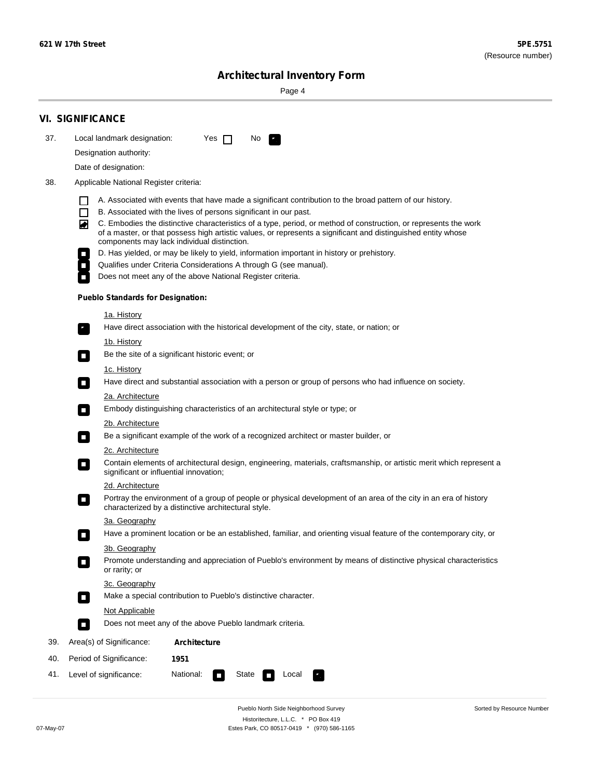Sorted by Resource Number

## **Architectural Inventory Form**

Page 4

|     | <b>VI. SIGNIFICANCE</b>                                                                                                                                                                                                                                                               |  |  |  |
|-----|---------------------------------------------------------------------------------------------------------------------------------------------------------------------------------------------------------------------------------------------------------------------------------------|--|--|--|
| 37. | Local landmark designation:<br>Yes $\Box$<br>No.<br>$\mathcal{F}_{\mathcal{A}}$                                                                                                                                                                                                       |  |  |  |
|     | Designation authority:                                                                                                                                                                                                                                                                |  |  |  |
|     | Date of designation:                                                                                                                                                                                                                                                                  |  |  |  |
| 38. | Applicable National Register criteria:                                                                                                                                                                                                                                                |  |  |  |
|     | A. Associated with events that have made a significant contribution to the broad pattern of our history.                                                                                                                                                                              |  |  |  |
|     | B. Associated with the lives of persons significant in our past.<br>$\Box$                                                                                                                                                                                                            |  |  |  |
|     | C. Embodies the distinctive characteristics of a type, period, or method of construction, or represents the work<br>◙<br>of a master, or that possess high artistic values, or represents a significant and distinguished entity whose<br>components may lack individual distinction. |  |  |  |
|     | D. Has yielded, or may be likely to yield, information important in history or prehistory.                                                                                                                                                                                            |  |  |  |
|     | Qualifies under Criteria Considerations A through G (see manual).<br>$\mathcal{L}_{\mathcal{A}}$                                                                                                                                                                                      |  |  |  |
|     | Does not meet any of the above National Register criteria.                                                                                                                                                                                                                            |  |  |  |
|     | <b>Pueblo Standards for Designation:</b>                                                                                                                                                                                                                                              |  |  |  |
|     | <u>1a. History</u>                                                                                                                                                                                                                                                                    |  |  |  |
|     | Have direct association with the historical development of the city, state, or nation; or                                                                                                                                                                                             |  |  |  |
|     | <u>1b. History</u>                                                                                                                                                                                                                                                                    |  |  |  |
|     | Be the site of a significant historic event; or<br>$\overline{\phantom{a}}$                                                                                                                                                                                                           |  |  |  |
|     | 1c. History<br>Have direct and substantial association with a person or group of persons who had influence on society.<br>$\overline{\phantom{a}}$                                                                                                                                    |  |  |  |
|     | 2a. Architecture                                                                                                                                                                                                                                                                      |  |  |  |
|     | Embody distinguishing characteristics of an architectural style or type; or<br>$\overline{\phantom{a}}$                                                                                                                                                                               |  |  |  |
|     | 2b. Architecture                                                                                                                                                                                                                                                                      |  |  |  |
|     | Be a significant example of the work of a recognized architect or master builder, or<br>$\Box$                                                                                                                                                                                        |  |  |  |
|     | <b>2c. Architecture</b>                                                                                                                                                                                                                                                               |  |  |  |
|     | Contain elements of architectural design, engineering, materials, craftsmanship, or artistic merit which represent a<br>$\Box$<br>significant or influential innovation;                                                                                                              |  |  |  |
|     | 2d. Architecture                                                                                                                                                                                                                                                                      |  |  |  |
|     | Portray the environment of a group of people or physical development of an area of the city in an era of history<br>$\mathcal{L}_{\mathcal{A}}$<br>characterized by a distinctive architectural style.                                                                                |  |  |  |
|     | 3a. Geography                                                                                                                                                                                                                                                                         |  |  |  |
|     | Have a prominent location or be an established, familiar, and orienting visual feature of the contemporary city, or<br>Π                                                                                                                                                              |  |  |  |
|     | 3b. Geography                                                                                                                                                                                                                                                                         |  |  |  |
|     | Promote understanding and appreciation of Pueblo's environment by means of distinctive physical characteristics<br>or rarity; or                                                                                                                                                      |  |  |  |
|     | 3c. Geography                                                                                                                                                                                                                                                                         |  |  |  |
|     | Make a special contribution to Pueblo's distinctive character.<br>$\Box$                                                                                                                                                                                                              |  |  |  |
|     | Not Applicable                                                                                                                                                                                                                                                                        |  |  |  |
|     | Does not meet any of the above Pueblo landmark criteria.<br>$\Box$                                                                                                                                                                                                                    |  |  |  |
| 39. | Area(s) of Significance:<br><b>Architecture</b>                                                                                                                                                                                                                                       |  |  |  |
| 40. | Period of Significance:<br>1951                                                                                                                                                                                                                                                       |  |  |  |
| 41. | National:<br>Level of significance:<br>State<br>Local<br>$\overline{\phantom{a}}$<br>У.,                                                                                                                                                                                              |  |  |  |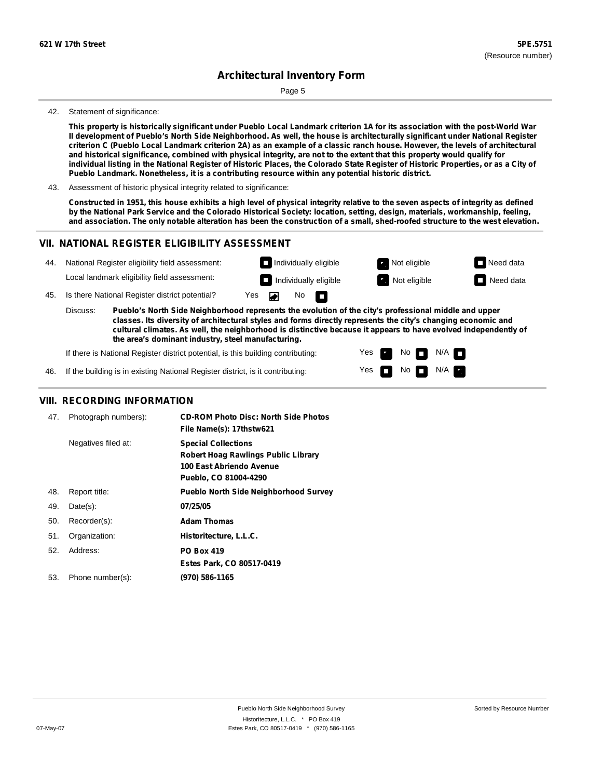Page 5

#### 42. Statement of significance:

This property is historically significant under Pueblo Local Landmark criterion 1A for its association with the post-World War Il development of Pueblo's North Side Neighborhood. As well, the house is architecturally significant under National Register criterion C (Pueblo Local Landmark criterion 2A) as an example of a classic ranch house. However, the levels of architectural and historical significance, combined with physical integrity, are not to the extent that this property would qualify for individual listing in the National Register of Historic Places, the Colorado State Register of Historic Properties, or as a City of **Pueblo Landmark. Nonetheless, it is a contributing resource within any potential historic district.**

43. Assessment of historic physical integrity related to significance:

Constructed in 1951, this house exhibits a high level of physical integrity relative to the seven aspects of integrity as defined by the National Park Service and the Colorado Historical Society: location, setting, design, materials, workmanship, feeling, and association. The only notable alteration has been the construction of a small, shed-roofed structure to the west elevation.

#### **VII. NATIONAL REGISTER ELIGIBILITY ASSESSMENT**



Yes

No  $\blacksquare$  N/A

If the building is in existing National Register district, is it contributing: 46.

### **VIII. RECORDING INFORMATION**

| 47. | Photograph numbers): | <b>CD-ROM Photo Disc: North Side Photos</b><br>File Name(s): 17thstw621                                                |
|-----|----------------------|------------------------------------------------------------------------------------------------------------------------|
|     | Negatives filed at:  | <b>Special Collections</b><br>Robert Hoag Rawlings Public Library<br>100 East Abriendo Avenue<br>Pueblo, CO 81004-4290 |
| 48. | Report title:        | <b>Pueblo North Side Neighborhood Survey</b>                                                                           |
| 49. | $Date(s)$ :          | 07/25/05                                                                                                               |
| 50. | Recorder(s):         | <b>Adam Thomas</b>                                                                                                     |
| 51. | Organization:        | Historitecture, L.L.C.                                                                                                 |
| 52. | Address:             | <b>PO Box 419</b>                                                                                                      |
|     |                      | Estes Park, CO 80517-0419                                                                                              |
| 53. | Phone number(s):     | (970) 586-1165                                                                                                         |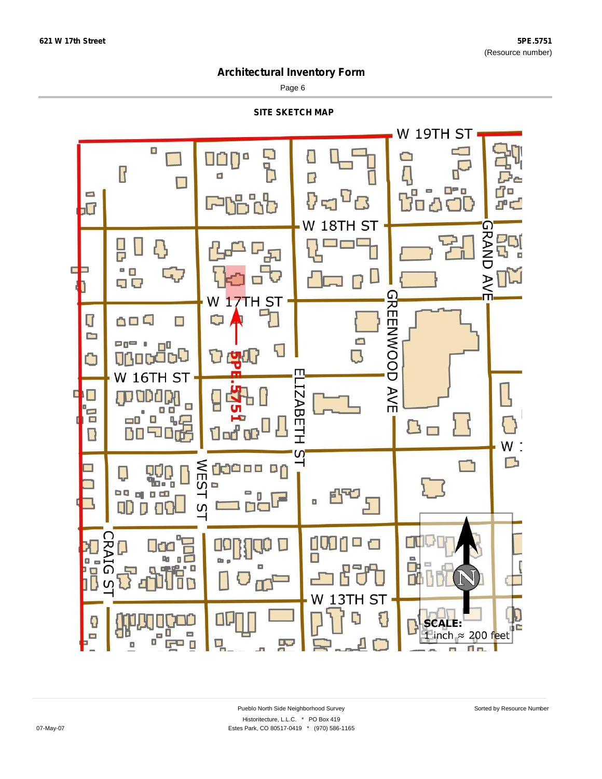Page 6